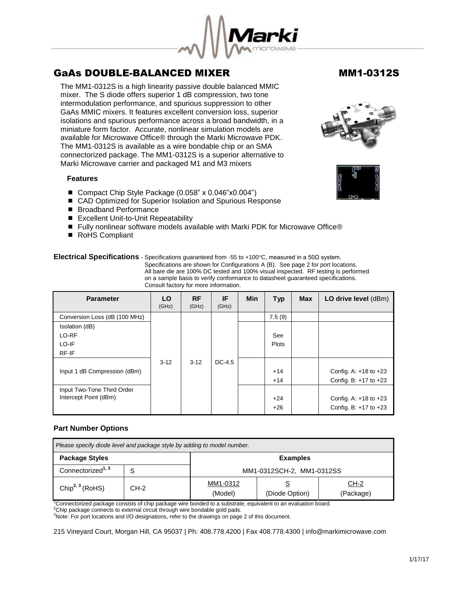

The MM1-0312S is a high linearity passive double balanced MMIC mixer. The S diode offers superior 1 dB compression, two tone intermodulation performance, and spurious suppression to other GaAs MMIC mixers. It features excellent conversion loss, superior isolations and spurious performance across a broad bandwidth, in a miniature form factor. Accurate, nonlinear simulation models are available for Microwave Office® through the Marki Microwave PDK. The MM1-0312S is available as a wire bondable chip or an SMA connectorized package. The MM1-0312S is a superior alternative to Marki Microwave carrier and packaged M1 and M3 mixers

### **Features**

- Compact Chip Style Package (0.058" x 0.046"x0.004")
- CAD Optimized for Superior Isolation and Spurious Response
- Broadband Performance
- Excellent Unit-to-Unit Repeatability
- Fully nonlinear software models available with Marki PDK for Microwave Office®
- RoHS Compliant

### **Electrical Specifications** - Specifications guaranteed from -55 to +100°C, measured in a 50Ω system. Specifications are shown for Configurations A (B). See page 2 for port locations. All bare die are 100% DC tested and 100% visual inspected. RF testing is performed on a sample basis to verify conformance to datasheet guaranteed specifications. Consult factory for more information.

| <b>Parameter</b>              | LO.<br>(GHz) | <b>RF</b><br>(GHz) | IF<br>(GHz) | <b>Min</b> | <b>Typ</b> | <b>Max</b> | LO drive level (dBm)      |
|-------------------------------|--------------|--------------------|-------------|------------|------------|------------|---------------------------|
| Conversion Loss (dB (100 MHz) |              |                    |             |            | 7.5(9)     |            |                           |
| Isolation (dB)                |              |                    |             |            |            |            |                           |
| LO-RF                         |              |                    |             |            | See        |            |                           |
| LO-IF                         |              |                    |             |            | Plots      |            |                           |
| RF-IF                         |              |                    |             |            |            |            |                           |
|                               | $3 - 12$     | $3 - 12$           | $DC-4.5$    |            |            |            |                           |
| Input 1 dB Compression (dBm)  |              |                    |             |            | $+14$      |            | Config. A: $+18$ to $+23$ |
|                               |              |                    |             |            | $+14$      |            | Config. B: $+17$ to $+23$ |
| Input Two-Tone Third Order    |              |                    |             |            |            |            |                           |
| Intercept Point (dBm)         |              |                    |             |            | $+24$      |            | Config. A: $+18$ to $+23$ |
|                               |              |                    |             |            | $+26$      |            | Config. B: $+17$ to $+23$ |

### **Part Number Options**

| Please specify diode level and package style by adding to model number. |      |                           |                |                     |  |  |
|-------------------------------------------------------------------------|------|---------------------------|----------------|---------------------|--|--|
| <b>Package Styles</b><br><b>Examples</b>                                |      |                           |                |                     |  |  |
| Connectorized <sup>1, 3</sup>                                           |      | MM1-0312SCH-2, MM1-0312SS |                |                     |  |  |
| Chip <sup>2, 3</sup> (RoHS)                                             | CH-2 | MM1-0312<br>(Model)       | (Diode Option) | $CH-2$<br>(Package) |  |  |

<sup>1</sup>Connectorized package consists of chip package wire bonded to a substrate, equivalent to an evaluation board.

<sup>2</sup>Chip package connects to external circuit through wire bondable gold pads.

<sup>3</sup>Note: For port locations and I/O designations, refer to the drawings on page 2 of this document.

215 Vineyard Court, Morgan Hill, CA 95037 | Ph: 408.778.4200 | Fax 408.778.4300 | info@markimicrowave.com



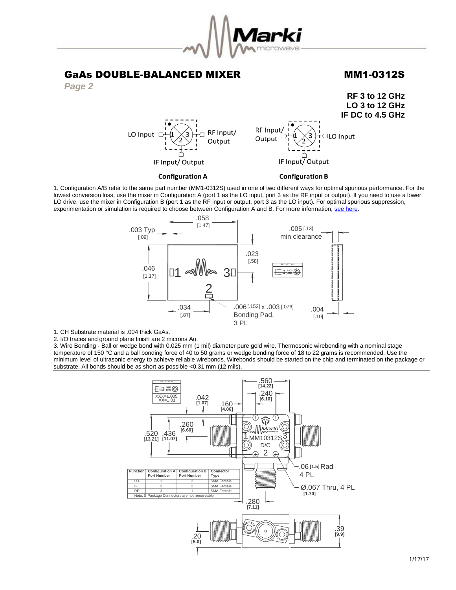

**RF 3 to 12 GHz**



**LO 3 to 12 GHz IF DC to 4.5 GHz** RF Input/ RF Input/ LO Input [ **IO** Input Output Output IF Input/Output IF Input/Output **Configuration A Configuration B** 

1. Configuration A/B refer to the same part number (MM1-0312S) used in one of two different ways for optimal spurious performance. For the lowest conversion loss, use the mixer in Configuration A (port 1 as the LO input, port 3 as the RF input or output). If you need to use a lower LO drive, use the mixer in Configuration B (port 1 as the RF input or output, port 3 as the LO input). For optimal spurious suppression, experimentation or simulation is required to choose between Configuration A and B. For more information, [see here.](http://www.markimicrowave.com/rf-microwave-qa/q/what-is-the-difference-between-configuration-a-and-configuration-b-on-mixers)



1. CH Substrate material is .004 thick GaAs.

2. I/O traces and ground plane finish are 2 microns Au.

3. Wire Bonding - Ball or wedge bond with 0.025 mm (1 mil) diameter pure gold wire. Thermosonic wirebonding with a nominal stage temperature of 150 °C and a ball bonding force of 40 to 50 grams or wedge bonding force of 18 to 22 grams is recommended. Use the minimum level of ultrasonic energy to achieve reliable wirebonds. Wirebonds should be started on the chip and terminated on the package or substrate. All bonds should be as short as possible <0.31 mm (12 mils).

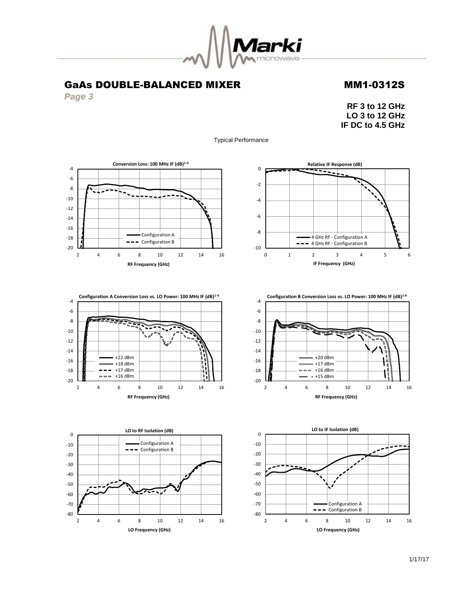

*Page 3*

**RF 3 to 12 GHz LO 3 to 12 GHz IF DC to 4.5 GHz**

Typical Performance











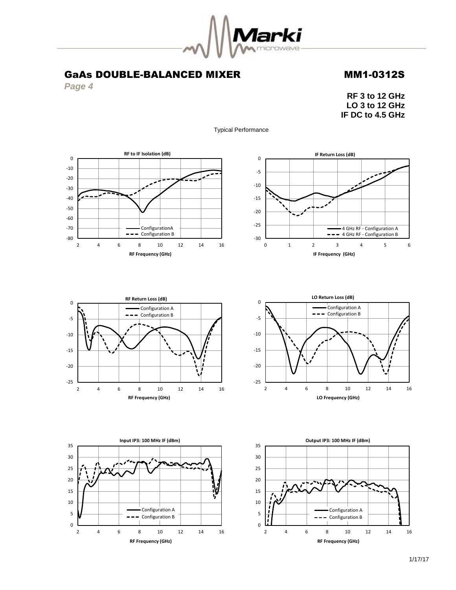

*Page 4*

**RF 3 to 12 GHz LO 3 to 12 GHz IF DC to 4.5 GHz**

Typical Performance











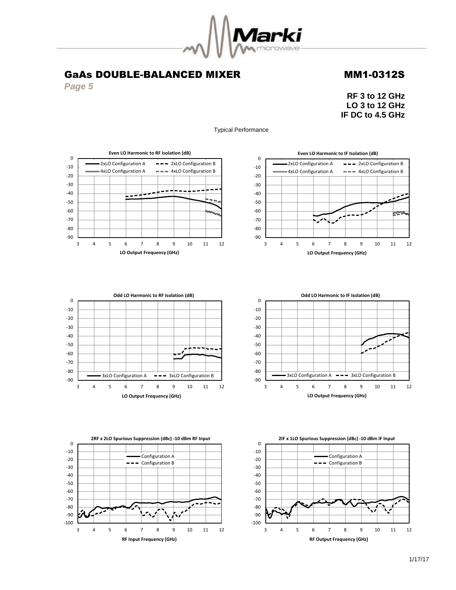

*Page 5*

**RF 3 to 12 GHz LO 3 to 12 GHz IF DC to 4.5 GHz**

∕≍



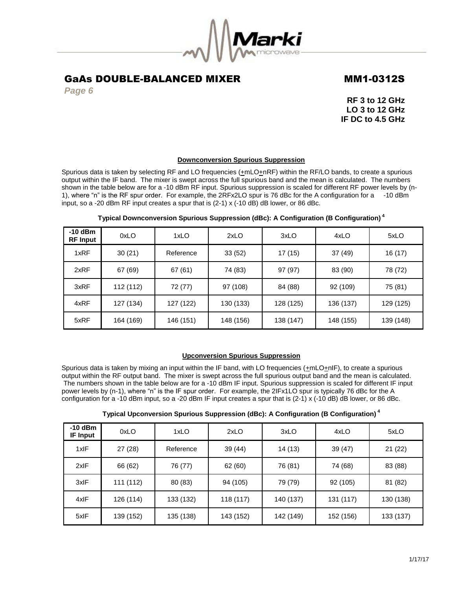

*Page 6*

**RF 3 to 12 GHz LO 3 to 12 GHz IF DC to 4.5 GHz**

### **Downconversion Spurious Suppression**

Spurious data is taken by selecting RF and LO frequencies ( $\pm$ mLO $\pm$ nRF) within the RF/LO bands, to create a spurious output within the IF band. The mixer is swept across the full spurious band and the mean is calculated. The numbers shown in the table below are for a -10 dBm RF input. Spurious suppression is scaled for different RF power levels by (n-1), where "n" is the RF spur order. For example, the 2RFx2LO spur is 76 dBc for the A configuration for a -10 dBm input, so a -20 dBm RF input creates a spur that is (2-1) x (-10 dB) dB lower, or 86 dBc.

| $-10$ dBm<br><b>RF Input</b> | 0xLO      | 1xLO      | 2xLO      | 3xLO      | 4xLO      | 5xLO      |
|------------------------------|-----------|-----------|-----------|-----------|-----------|-----------|
| 1xRF                         | 30(21)    | Reference | 33(52)    | 17(15)    | 37 (49)   | 16 (17)   |
| 2xRF                         | 67 (69)   | 67(61)    | 74 (83)   | 97 (97)   | 83 (90)   | 78 (72)   |
| 3xRF                         | 112 (112) | 72 (77)   | 97 (108)  | 84 (88)   | 92 (109)  | 75 (81)   |
| 4xRF                         | 127 (134) | 127 (122) | 130 (133) | 128 (125) | 136 (137) | 129 (125) |
| 5xRF                         | 164 (169) | 146 (151) | 148 (156) | 138 (147) | 148 (155) | 139 (148) |

## **Typical Downconversion Spurious Suppression (dBc): A Configuration (B Configuration) <sup>4</sup>**

### **Upconversion Spurious Suppression**

Spurious data is taken by mixing an input within the IF band, with LO frequencies (+mLO+nIF), to create a spurious output within the RF output band. The mixer is swept across the full spurious output band and the mean is calculated. The numbers shown in the table below are for a -10 dBm IF input. Spurious suppression is scaled for different IF input power levels by (n-1), where "n" is the IF spur order. For example, the 2IFx1LO spur is typically 76 dBc for the A configuration for a -10 dBm input, so a -20 dBm IF input creates a spur that is (2-1) x (-10 dB) dB lower, or 86 dBc.

| Typical Upconversion Spurious Suppression (dBc): A Configuration (B Configuration) $^{\textrm{\tiny{4}}}$ |
|-----------------------------------------------------------------------------------------------------------|
|-----------------------------------------------------------------------------------------------------------|

| $-10$ dBm<br><b>IF Input</b> | 0xLO      | 1xLO      | 2xLO      | 3xLO      | 4xLO      | 5xLO      |
|------------------------------|-----------|-----------|-----------|-----------|-----------|-----------|
| 1xIF                         | 27(28)    | Reference | 39 (44)   | 14(13)    | 39 (47)   | 21(22)    |
| 2xIF                         | 66 (62)   | 76 (77)   | 62 (60)   | 76 (81)   | 74 (68)   | 83 (88)   |
| 3xIF                         | 111 (112) | 80 (83)   | 94 (105)  | 79 (79)   | 92 (105)  | 81 (82)   |
| 4xIF                         | 126 (114) | 133 (132) | 118 (117) | 140 (137) | 131 (117) | 130 (138) |
| 5xIF                         | 139 (152) | 135 (138) | 143 (152) | 142 (149) | 152 (156) | 133 (137) |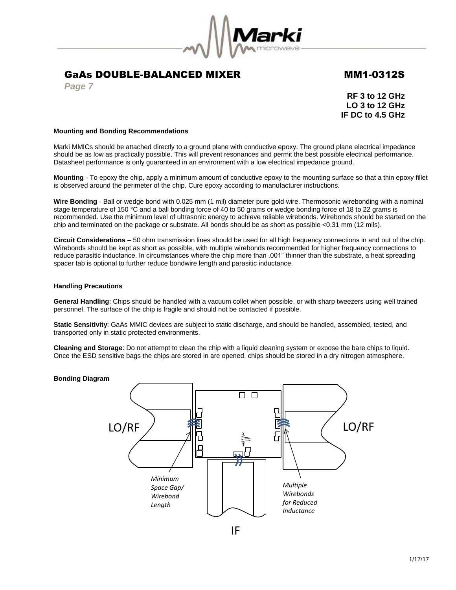

*Page 7*

**RF 3 to 12 GHz LO 3 to 12 GHz IF DC to 4.5 GHz**

### **Mounting and Bonding Recommendations**

Marki MMICs should be attached directly to a ground plane with conductive epoxy. The ground plane electrical impedance should be as low as practically possible. This will prevent resonances and permit the best possible electrical performance. Datasheet performance is only guaranteed in an environment with a low electrical impedance ground.

**Mounting** - To epoxy the chip, apply a minimum amount of conductive epoxy to the mounting surface so that a thin epoxy fillet is observed around the perimeter of the chip. Cure epoxy according to manufacturer instructions.

**Wire Bonding** - Ball or wedge bond with 0.025 mm (1 mil) diameter pure gold wire. Thermosonic wirebonding with a nominal stage temperature of 150 °C and a ball bonding force of 40 to 50 grams or wedge bonding force of 18 to 22 grams is recommended. Use the minimum level of ultrasonic energy to achieve reliable wirebonds. Wirebonds should be started on the chip and terminated on the package or substrate. All bonds should be as short as possible <0.31 mm (12 mils).

**Circuit Considerations** – 50 ohm transmission lines should be used for all high frequency connections in and out of the chip. Wirebonds should be kept as short as possible, with multiple wirebonds recommended for higher frequency connections to reduce parasitic inductance. In circumstances where the chip more than .001" thinner than the substrate, a heat spreading spacer tab is optional to further reduce bondwire length and parasitic inductance.

## **Handling Precautions**

**General Handling**: Chips should be handled with a vacuum collet when possible, or with sharp tweezers using well trained personnel. The surface of the chip is fragile and should not be contacted if possible.

**Static Sensitivity**: GaAs MMIC devices are subject to static discharge, and should be handled, assembled, tested, and transported only in static protected environments.

**Cleaning and Storage**: Do not attempt to clean the chip with a liquid cleaning system or expose the bare chips to liquid. Once the ESD sensitive bags the chips are stored in are opened, chips should be stored in a dry nitrogen atmosphere.

### **Bonding Diagram**